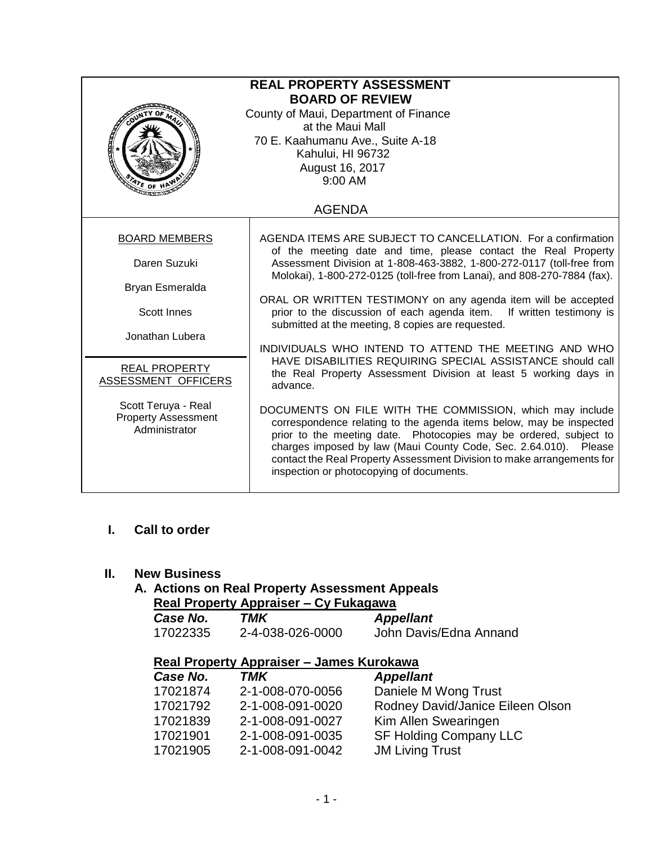| <b>REAL PROPERTY ASSESSMENT</b><br><b>BOARD OF REVIEW</b><br>County of Maui, Department of Finance<br>at the Maui Mall<br>70 E. Kaahumanu Ave., Suite A-18<br><b>Real Proper</b><br>Kahului, HI 96732<br>August 16, 2017<br>9:00 AM<br>$476$ OF H |                                                                                                                                                                                                                                                                                                                                                                                                |  |  |  |
|---------------------------------------------------------------------------------------------------------------------------------------------------------------------------------------------------------------------------------------------------|------------------------------------------------------------------------------------------------------------------------------------------------------------------------------------------------------------------------------------------------------------------------------------------------------------------------------------------------------------------------------------------------|--|--|--|
|                                                                                                                                                                                                                                                   | <b>AGENDA</b>                                                                                                                                                                                                                                                                                                                                                                                  |  |  |  |
| <b>BOARD MEMBERS</b>                                                                                                                                                                                                                              | AGENDA ITEMS ARE SUBJECT TO CANCELLATION. For a confirmation<br>of the meeting date and time, please contact the Real Property                                                                                                                                                                                                                                                                 |  |  |  |
| Daren Suzuki                                                                                                                                                                                                                                      | Assessment Division at 1-808-463-3882, 1-800-272-0117 (toll-free from<br>Molokai), 1-800-272-0125 (toll-free from Lanai), and 808-270-7884 (fax).                                                                                                                                                                                                                                              |  |  |  |
| Bryan Esmeralda                                                                                                                                                                                                                                   |                                                                                                                                                                                                                                                                                                                                                                                                |  |  |  |
| <b>Scott Innes</b>                                                                                                                                                                                                                                | ORAL OR WRITTEN TESTIMONY on any agenda item will be accepted<br>prior to the discussion of each agenda item. If written testimony is<br>submitted at the meeting, 8 copies are requested.                                                                                                                                                                                                     |  |  |  |
| Jonathan Lubera                                                                                                                                                                                                                                   | INDIVIDUALS WHO INTEND TO ATTEND THE MEETING AND WHO<br>HAVE DISABILITIES REQUIRING SPECIAL ASSISTANCE should call<br>the Real Property Assessment Division at least 5 working days in<br>advance.                                                                                                                                                                                             |  |  |  |
| <b>REAL PROPERTY</b><br>ASSESSMENT OFFICERS                                                                                                                                                                                                       |                                                                                                                                                                                                                                                                                                                                                                                                |  |  |  |
| Scott Teruya - Real<br><b>Property Assessment</b><br>Administrator                                                                                                                                                                                | DOCUMENTS ON FILE WITH THE COMMISSION, which may include<br>correspondence relating to the agenda items below, may be inspected<br>prior to the meeting date. Photocopies may be ordered, subject to<br>charges imposed by law (Maui County Code, Sec. 2.64.010). Please<br>contact the Real Property Assessment Division to make arrangements for<br>inspection or photocopying of documents. |  |  |  |

**I. Call to order**

### **II. New Business**

#### **A. Actions on Real Property Assessment Appeals Real Property Appraiser – Cy Fukagawa**

| Case No. | TMK              | <b>Appellant</b>       |
|----------|------------------|------------------------|
| 17022335 | 2-4-038-026-0000 | John Davis/Edna Annand |

# **Real Property Appraiser – James Kurokawa**

| Case No. | <b>TMK</b>       | <b>Appellant</b>                 |
|----------|------------------|----------------------------------|
| 17021874 | 2-1-008-070-0056 | Daniele M Wong Trust             |
| 17021792 | 2-1-008-091-0020 | Rodney David/Janice Eileen Olson |
| 17021839 | 2-1-008-091-0027 | Kim Allen Swearingen             |
| 17021901 | 2-1-008-091-0035 | <b>SF Holding Company LLC</b>    |
| 17021905 | 2-1-008-091-0042 | <b>JM Living Trust</b>           |